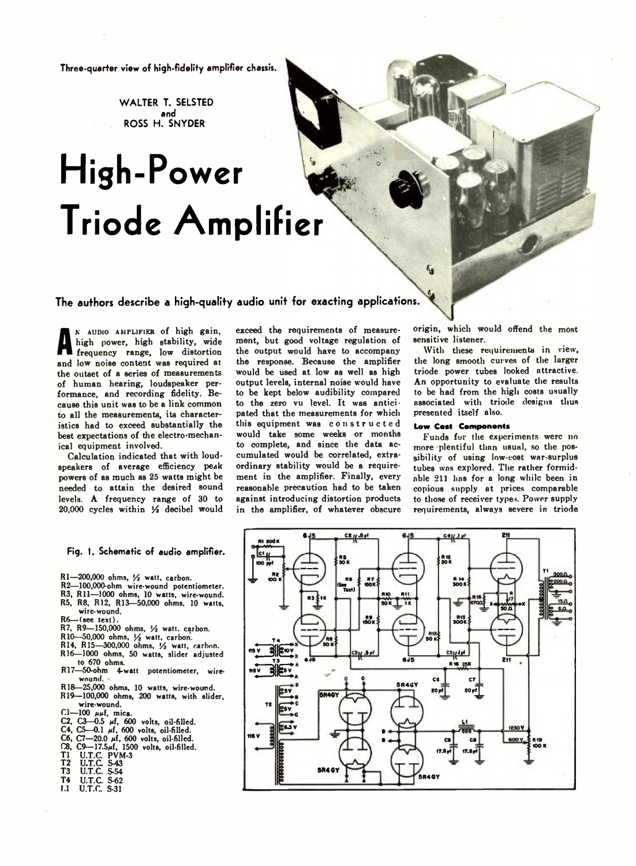**Three-quarter view of high-fidelity amplifier chassis.**

**W ALTER T. SELSTED and** ROSS H. SNYDER

## **High-Power Triode Amplifier**

**The authors describe a high-quality audio unit for exacting applications.**

A nigh power, nigh stability, where<br>and low noise content was required at m audio amplifier of high gain, high power, high stability, wide frequency range, low distortion the outset of a series of measurements of human hearing, loudspeaker performance, and recording fidelity. Because this unit was to be a link common to all the measurements, its characteristics had to exceed substantially the best expectations of the electro-mechanical equipment involved.

Calculation indicated that with loudspeakers of average efficiency peak powers of as much as 25 watts might be needed to attain the desired sound levels. A frequency range of 30 to 20,000 cycles within *Vi* decibel would exceed the requirements of measurement, but good voltage regulation of the output would have to accompany the response. Because the amplifier would be used at low as well as high output levels, internal noise would have to be kept below audibility compared to the zero vu level. It was anticipated that the measurements for which this equipment was constructed would take some weeks or months to complete, and since the data accumulated would be correlated, extraordinary stability would be a requirement in the amplifier. Finally, every reasonable precaution had to be taken against introducing distortion products in the amplifier, of whatever obscure origin, which would offend the most sensitive listener.

With these requirements in view, the long smooth curves of the larger triode power tubes looked attractive. An opportunity to evaluate the results to be had from the high costs usually associated with triode designs thus presented itself also.

## **Low Cost Components**

Funds for the experiments were no more plentiful than usual, so the possibility of using low-cost war-surplus tubes was explored. The rather formidable 211 lias for a long while been in copious supply at prices comparable to those of receiver type<. Power supply requirements, always severe in triode



## **Fig. I. Schematic of audio amplifier.**

- R1-200,000 ohms, 1/2 watt, carbon.
- R2— 100,000-ohm wire-wound potentiometer.
- R3, R11-1000 ohms, 10 watts, wire-wound. R5, R8, R12, R13— 50,000 ohms, 10 watts,
- wire-wound.
- 
- R6— (see text). R7, R9— 150,000 ohms, *l/i* watt, carbon.
- R10—50,000 ohms, ½ watt, carbon.<br>R14, R15—300,000 ohms, ½ watt, carbon.
- 
- R16— 1000 ohms, 50 watts, slider adjusted to 670 ohms.
- R17— 50-ohm 4-watt potentiometer, wirewound.
- R18— 25,000 ohms, 10 watts, wire-wound. R19— 100,000 ohms, 200 watts, with slider,
- wire-wound.
- Cl- $100 \mu$ f, mica.
- C2, C3—0.5 µf, 600 volts, oil-filled.<br>C4, C5—0.1 µf, 600 volts, oil-filled.
- $C6$ ,  $C7 20.0$   $\mu$ f, 600 volts, oil-filled.
- 
- (B, C9—17.5µf, 1500 volts, oil-filled.<br>T1 U.T.C. PVM-3<br>T2 U.T.C. S-43<br>T3 U.T.C. S-54
- 
- 
- T4 U.T.C. S-62
- $U.T.C.$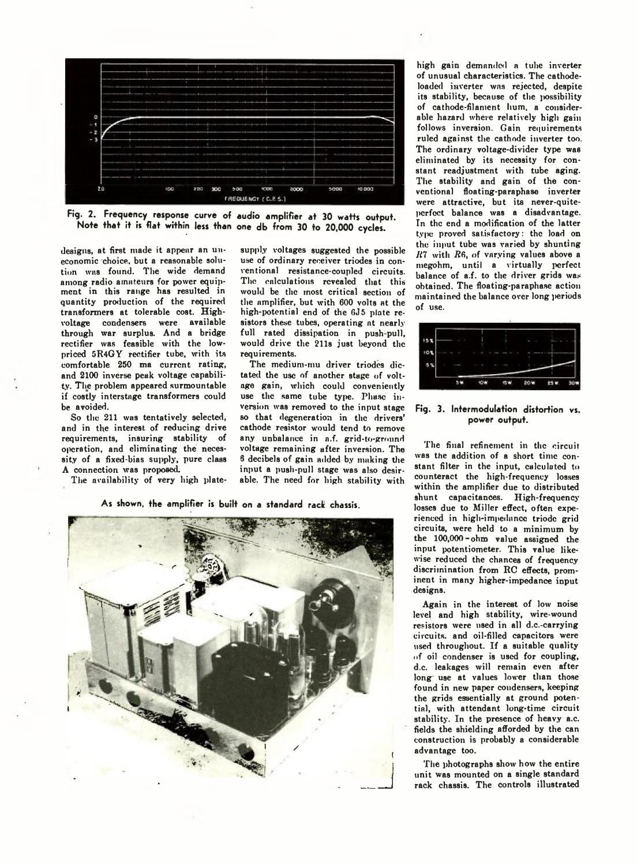

**Fig. 2. Frequency response curve of audio amplifier at 30 waffs oufpuf. Nofe fhaf if is flaf wifhin less fhan one db from 30 fo 20,000 cycles.**

designs, at first made it appear an uneconomic choice, but a reasonable solution was found. The wide demand among radio amateurs for power equipment in this range has resulted in quantity production of the required transformers at tolerable cost. Highvoltage condensers were available through war surplus. And a bridge rectifier was feasible with the lowpriced 5R4GY rectifier tube, with its comfortable 250 ma current rating, and 2100 inverse peak voltage capability. The problem appeared surmountable if costly interstage transformers could be avoided.

So the 211 was tentatively selected, and in the interest of reducing drive requirements, insuring stability of operation, and eliminating the necessity of a fixed-bias supply, pure class A connection was proposed.

The availability of very high plate-

supply voltages suggested the possible use of ordinary receiver triodes in conventional resistance-coupled circuits. The calculations revealed that this would be the most critical section of the amplifier, but with 600 volts at the high-potential end of the 6J5 plate resistors these tubes, operating at nearly full rated dissipation in push-pull, would drive the 211s just beyond the requirements.

The medium-mu driver triodes dictated the use of another stage of voltage gain, which could conveniently use the same tube type. Phase inversion was removed to the input stage so that degeneration in the drivers' cathode resistor would tend to remove any unbalance in a.f. grid-to-ground voltage remaining after inversion. The 6 decibels of gain added by making the input a push-pull stage was also desirable. The need for high stability with

As shown, the amplifier is built on a standard rack chassis.



high gain demanded a tube inverter of unusual characteristics. The cathodeloaded inverter was rejected, despite its stability, because of the possibility of cathode-filament hum, a considerable hazard where relatively high gain follows inversion. Gain requirements ruled against the cathode inverter too. The ordinary voltage-divider type was eliminated by its necessity for constant readjustment with tube aging. The stability and gain of the conventional floating-paraphase inverter were attractive, but its never-quiteperfect balance was a disadvantage. In the end a modification of the latter type proved satisfactory: the load on the input tube was varied by shunting *R*7 with *R6*, of varying values above a megohm, until a virtually perfect balance of a.f. to the driver grids was obtained. The floating-paraphase action maintained the balance over long periods of use.



**Fig. 3. Intermodulation distortion vs. power output.**

The final refinement in the circuit was the addition of a short time constant filter in the input, calculated to counteract the high-frequency losses within the amplifier due to distributed shunt capacitances. High-frequency losses due to Miller effect, often experienced in high-impednnee triodc grid circuits, were held to a minimum by the 100,000-ohm value assigned the input potentiometer. This value likewise reduced the chances of frequency discrimination from RC effects, prominent in many higher-impedance input designs.

Again in the interest of low noise level and high stability, wire-wound resistors were used in all d.c.-carrying circuits, and oil-filled capacitors were used throughout. If a suitable quality of oil condenser is used for coupling, d.c. leakages will remain even after long use at values lower than those found in new paper condensers, keeping the grids essentially at ground potential, with attendant long-time circuit stability. In the presence of heavy a.c. fields the shielding afforded by the can construction is probably a considerable advantage too.

The photographs show how the entire unit was mounted on a single standard rack chassis. The controls illustrated